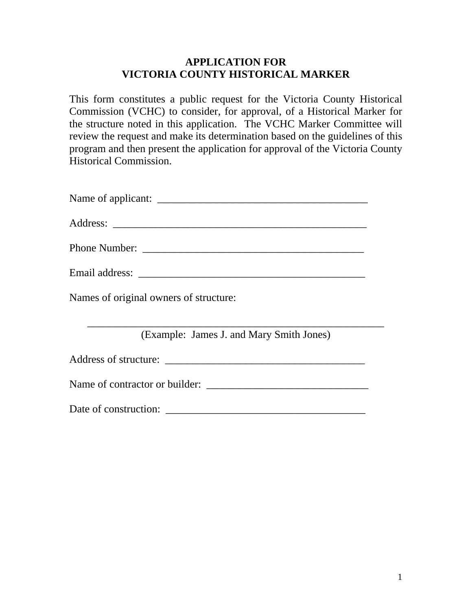## **APPLICATION FOR VICTORIA COUNTY HISTORICAL MARKER**

This form constitutes a public request for the Victoria County Historical Commission (VCHC) to consider, for approval, of a Historical Marker for the structure noted in this application. The VCHC Marker Committee will review the request and make its determination based on the guidelines of this program and then present the application for approval of the Victoria County Historical Commission.

| Name of applicant: |  |
|--------------------|--|
|--------------------|--|

| $\lambda$<br>Jun.<br>. പാരം |  |
|-----------------------------|--|
|                             |  |

Phone Number: \_\_\_\_\_\_\_\_\_\_\_\_\_\_\_\_\_\_\_\_\_\_\_\_\_\_\_\_\_\_\_\_\_\_\_\_\_\_\_\_\_

| Email addr<br>$\cdot$ it $\Delta$ c c $\cdot$<br>21.200<br>. הרוש |  |
|-------------------------------------------------------------------|--|
|-------------------------------------------------------------------|--|

Names of original owners of structure:

\_\_\_\_\_\_\_\_\_\_\_\_\_\_\_\_\_\_\_\_\_\_\_\_\_\_\_\_\_\_\_\_\_\_\_\_\_\_\_\_\_\_\_\_\_\_\_\_\_\_\_\_\_\_\_ (Example: James J. and Mary Smith Jones)

Address of structure: \_\_\_\_\_\_\_\_\_\_\_\_\_\_\_\_\_\_\_\_\_\_\_\_\_\_\_\_\_\_\_\_\_\_\_\_\_

Name of contractor or builder:

Date of construction: \_\_\_\_\_\_\_\_\_\_\_\_\_\_\_\_\_\_\_\_\_\_\_\_\_\_\_\_\_\_\_\_\_\_\_\_\_